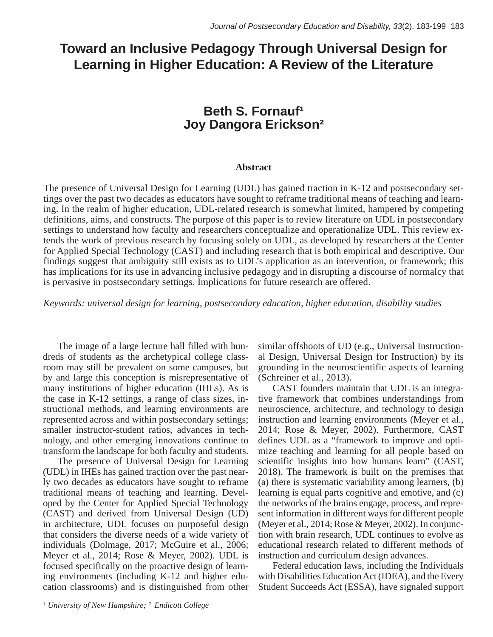# **Toward an Inclusive Pedagogy Through Universal Design for Learning in Higher Education: A Review of the Literature**

## **Beth S. Fornauf<sup>1</sup> Joy Dangora Erickson<sup>2</sup>**  $\sim$ y

## **Abstract**

The presence of Universal Design for Learning (UDL) has gained traction in K-12 and postsecondary settings over the past two decades as educators have sought to reframe traditional means of teaching and learning. In the realm of higher education, UDL-related research is somewhat limited, hampered by competing definitions, aims, and constructs. The purpose of this paper is to review literature on UDL in postsecondary settings to understand how faculty and researchers conceptualize and operationalize UDL. This review extends the work of previous research by focusing solely on UDL, as developed by researchers at the Center for Applied Special Technology (CAST) and including research that is both empirical and descriptive. Our findings suggest that ambiguity still exists as to UDL's application as an intervention, or framework; this has implications for its use in advancing inclusive pedagogy and in disrupting a discourse of normalcy that is pervasive in postsecondary settings. Implications for future research are offered.

*Keywords: universal design for learning, postsecondary education, higher education, disability studies*

The image of a large lecture hall filled with hundreds of students as the archetypical college classroom may still be prevalent on some campuses, but by and large this conception is misrepresentative of many institutions of higher education (IHEs). As is the case in K-12 settings, a range of class sizes, instructional methods, and learning environments are represented across and within postsecondary settings; smaller instructor-student ratios, advances in technology, and other emerging innovations continue to transform the landscape for both faculty and students.

The presence of Universal Design for Learning (UDL) in IHEs has gained traction over the past nearly two decades as educators have sought to reframe traditional means of teaching and learning. Developed by the Center for Applied Special Technology (CAST) and derived from Universal Design (UD) in architecture, UDL focuses on purposeful design that considers the diverse needs of a wide variety of individuals (Dolmage, 2017; McGuire et al., 2006; Meyer et al., 2014; Rose & Meyer, 2002). UDL is focused specifically on the proactive design of learning environments (including K-12 and higher education classrooms) and is distinguished from other that considers the diverse needs of  $\alpha$  and  $\alpha$  and  $\alpha$  with  $\alpha$  and  $\alpha$ 

similar offshoots of UD (e.g., Universal Instructional Design, Universal Design for Instruction) by its grounding in the neuroscientific aspects of learning  $(Schreiner et al., 2013).$ 

CAST founders maintain that UDL is an integrative framework that combines understandings from neuroscience, architecture, and technology to design instruction and learning environments (Meyer et al., 2014; Rose & Meyer, 2002). Furthermore, CAST defines UDL as a "framework to improve and optimize teaching and learning for all people based on scientific insights into how humans learn" (CAST, 2018). The framework is built on the premises that (a) there is systematic variability among learners,  $(b)$ (a) there is systemate variability allowing features,  $(0)$  learning is equal parts cognitive and emotive, and  $(c)$ the networks of the brains engage, process, and represent information in different ways for different people (Meyer et al., 2014; Rose & Meyer, 2002). In conjunction with brain research, UDL continues to evolve as educational research related to different methods of instruction and curriculum design advances. rearing is equal parts cognitive and emotive, and

Federal education laws, including the Individuals with Disabilities Education Act (IDEA), and the Every Student Succeeds Act (ESSA), have signaled support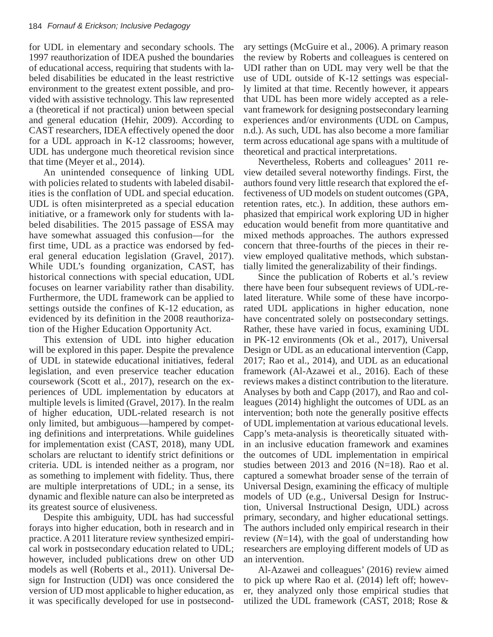for UDL in elementary and secondary schools. The 1997 reauthorization of IDEA pushed the boundaries of educational access, requiring that students with labeled disabilities be educated in the least restrictive environment to the greatest extent possible, and provided with assistive technology. This law represented a (theoretical if not practical) union between special and general education (Hehir, 2009). According to CAST researchers, IDEA effectively opened the door for a UDL approach in K-12 classrooms; however, UDL has undergone much theoretical revision since that time (Meyer et al., 2014).

An unintended consequence of linking UDL with policies related to students with labeled disabilwith poncies related to statements with racered disabilities is the conflation of UDL and special education. UDL is often misinterpreted as a special education initiative, or a framework only for students with labeled disabilities. The 2015 passage of ESSA may have somewhat assuaged this confusion—for the first time, UDL as a practice was endorsed by federal general education legislation (Gravel, 2017). While UDL's founding organization, CAST, has historical connections with special education, UDL focuses on learner variability rather than disability. Furthermore, the UDL framework can be applied to settings outside the confines of K-12 education, as evidenced by its definition in the 2008 reauthorization of the Higher Education Opportunity Act.  $\frac{1}{2}$  and special contains time,  $\frac{1}{2}$ 

This extension of UDL into higher education will be explored in this paper. Despite the prevalence of UDL in statewide educational initiatives, federal legislation, and even preservice teacher education coursework (Scott et al., 2017), research on the experiences of UDL implementation by educators at multiple levels is limited (Gravel, 2017). In the realm of higher education, UDL-related research is not only limited, but ambiguous—hampered by competing definitions and interpretations. While guidelines for implementation exist (CAST, 2018), many UDL scholars are reluctant to identify strict definitions or criteria. UDL is intended neither as a program, nor as something to implement with fidelity. Thus, there are multiple interpretations of UDL; in a sense, its dynamic and flexible nature can also be interpreted as its greatest source of elusiveness.

Despite this ambiguity, UDL has had successful forays into higher education, both in research and in practice. A 2011 literature review synthesized empirical work in postsecondary education related to UDL; however, included publications drew on other UD models as well (Roberts et al., 2011). Universal Design for Instruction (UDI) was once considered the version of UD most applicable to higher education, as it was specifically developed for use in postsecondary settings (McGuire et al., 2006). A primary reason the review by Roberts and colleagues is centered on UDI rather than on UDL may very well be that the use of UDL outside of K-12 settings was especially limited at that time. Recently however, it appears that UDL has been more widely accepted as a relevant framework for designing postsecondary learning experiences and/or environments (UDL on Campus, n.d.). As such, UDL has also become a more familiar term across educational age spans with a multitude of theoretical and practical interpretations.

Revertheless, Roberts and colleagues' 2011 review detailed several noteworthy findings. First, the authors found very little research that explored the efdations found very have research and explored the effectiveness of UD models on student outcomes (GPA, retention rates, etc.). In addition, these authors emphasized that empirical work exploring UD in higher education would benefit from more quantitative and mixed methods approaches. The authors expressed concern that three-fourths of the pieces in their review employed qualitative methods, which substantially limited the generalizability of their findings.  $\alpha$  approximately concerned concerned control three-fourths of  $\alpha$ 

Since the publication of Roberts et al.'s review there have been four subsequent reviews of UDL-related literature. While some of these have incorporated UDL applications in higher education, none have concentrated solely on postsecondary settings. Rather, these have varied in focus, examining UDL in PK-12 environments (Ok et al., 2017), Universal Design or UDL as an educational intervention (Capp,  $2017$ ; Rao et al.,  $2014$ ), and UDL as an educational framework (Al-Azawei et al., 2016). Each of these reviews makes a distinct contribution to the literature. Analyses by both and Capp (2017), and Rao and colleagues (2014) highlight the outcomes of UDL as an intervention; both note the generally positive effects of UDL implementation at various educational levels. Capp's meta-analysis is theoretically situated within an inclusive education framework and examines the outcomes of UDL implementation in empirical studies between 2013 and 2016 (N=18). Rao et al. captured a somewhat broader sense of the terrain of Universal Design, examining the efficacy of multiple models of UD (e.g., Universal Design for Instruction, Universal Instructional Design, UDL) across primary, secondary, and higher educational settings. The authors included only empirical research in their review  $(N=14)$ , with the goal of understanding how researchers are employing different models of UD as an intervention.

Al-Azawei and colleagues' (2016) review aimed to pick up where Rao et al. (2014) left off; however, they analyzed only those empirical studies that utilized the UDL framework (CAST, 2018; Rose &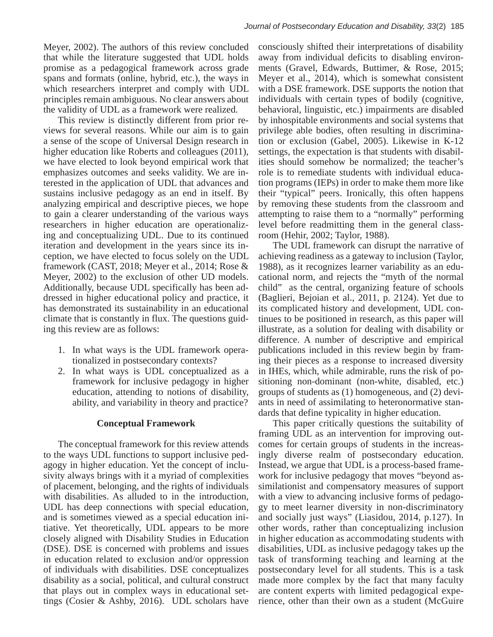Meyer, 2002). The authors of this review concluded that while the literature suggested that UDL holds promise as a pedagogical framework across grade spans and formats (online, hybrid, etc.), the ways in which researchers interpret and comply with UDL principles remain ambiguous. No clear answers about the validity of UDL as a framework were realized.

This review is distinctly different from prior reviews for several reasons. While our aim is to gain a sense of the scope of Universal Design research in higher education like Roberts and colleagues (2011), we have elected to look beyond empirical work that we have crected to floor expond empirical work dial<br>emphasizes outcomes and seeks validity. We are inemphasizes succemes and seeks various. We are interested in the application of UDL that advances and sustains inclusive pedagogy as an end in itself. By analyzing empirical and descriptive pieces, we hope to gain a clearer understanding of the various ways researchers in higher education are operationalizing and conceptualizing UDL. Due to its continued iteration and development in the years since its inception, we have elected to focus solely on the UDL framework (CAST, 2018; Meyer et al., 2014; Rose  $\&$ Meyer, 2002) to the exclusion of other UD models. Additionally, because UDL specifically has been addressed in higher educational policy and practice, it has demonstrated its sustainability in an educational climate that is constantly in flux. The questions guiding this review are as follows:  $\frac{1}{2}$  due to its continued it is continued in the  $\frac{1}{2}$ 

- 1. In what ways is the UDL framework operationalized in postsecondary contexts?
- 2. In what ways is UDL conceptualized as a framework for inclusive pedagogy in higher education, attending to notions of disability, ability, and variability in theory and practice?

## **Conceptual Framework**

The conceptual framework for this review attends to the ways UDL functions to support inclusive pedagogy in higher education. Yet the concept of inclusivity always brings with it a myriad of complexities of placement, belonging, and the rights of individuals with disabilities. As alluded to in the introduction, UDL has deep connections with special education, and is sometimes viewed as a special education initiative. Yet theoretically, UDL appears to be more closely aligned with Disability Studies in Education (DSE). DSE is concerned with problems and issues in education related to exclusion and/or oppression of individuals with disabilities. DSE conceptualizes disability as a social, political, and cultural construct that plays out in complex ways in educational settings (Cosier & Ashby, 2016). UDL scholars have  $\frac{1}{2}$  inclusive always below the myriad of complexities of placement,  $\frac{1}{2}$ ODE has ucep connections with special education,

consciously shifted their interpretations of disability away from individual deficits to disabling environments (Gravel, Edwards, Buttimer, & Rose, 2015; Meyer et al., 2014), which is somewhat consistent with a DSE framework. DSE supports the notion that individuals with certain types of bodily (cognitive, behavioral, linguistic, etc.) impairments are disabled by inhospitable environments and social systems that privilege able bodies, often resulting in discrimination or exclusion (Gabel, 2005). Likewise in K-12 remediate students (Calcul, 2000). The mass in the capacities students with disabilities should somehow be normalized; the teacher's role is to remediate students with individual education programs (IEPs) in order to make them more like their "typical" peers. Ironically, this often happens their "typical" peers. Ironically, this often happens by removing these students from the classroom and attempting to raise them to a "normally" performing level before readmitting them in the general classroom (Hehir, 2002; Taylor, 1988).  $T_{\text{total}}$  typical peers. Homeany, this often happen

The UDL framework can disrupt the narrative of achieving readiness as a gateway to inclusion (Taylor, 1988), as it recognizes learner variability as an educational norm, and rejects the "myth of the normal child" as the central, organizing feature of schools (Baglieri, Bejoian et al., 2011, p. 2124). Yet due to its complicated history and development, UDL continues to be positioned in research, as this paper will illustrate, as a solution for dealing with disability or difference. A number of descriptive and empirical publications included in this review begin by framing their pieces as a response to increased diversity in IHEs, which, while admirable, runs the risk of positioning non-dominant (non-white, disabled, etc.) groups of students as (1) homogeneous, and (2) deviants in need of assimilating to heteronormative standards that define typicality in higher education.

This paper critically questions the suitability of framing UDL as an intervention for improving outcomes for certain groups of students in the increasingly diverse realm of postsecondary education. Instead, we argue that UDL is a process-based framework for inclusive pedagogy that moves "beyond assimilationist and compensatory measures of support with a view to advancing inclusive forms of pedagogy to meet learner diversity in non-discriminatory and socially just ways" (Liasidou, 2014, p.127). In other words, rather than conceptualizing inclusion in higher education as accommodating students with disabilities, UDL as inclusive pedagogy takes up the task of transforming teaching and learning at the postsecondary level for all students. This is a task made more complex by the fact that many faculty are content experts with limited pedagogical experience, other than their own as a student (McGuire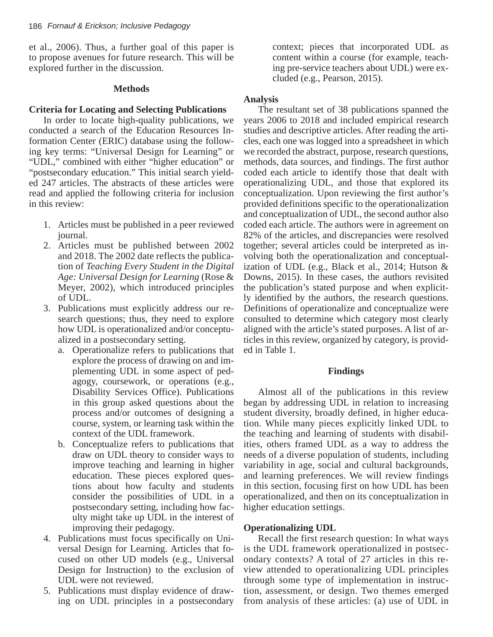et al., 2006). Thus, a further goal of this paper is to propose avenues for future research. This will be explored further in the discussion.

#### **Methods**

#### **Criteria for Locating and Selecting Publications**

In order to locate high-quality publications, we conducted a search of the Education Resources Information Center (ERIC) database using the following key terms: "Universal Design for Learning" or "UDL," combined with either "higher education" or "postsecondary education." This initial search yielded 247 articles. The abstracts of these articles were read and applied the following criteria for inclusion in this review:

- 1. Articles must be published in a peer reviewed journal.
- 2. Articles must be published between 2002 and 2018. The 2002 date reflects the publication of *Teaching Every Student in the Digital Age: Universal Design for Learning* (Rose & Meyer, 2002), which introduced principles of UDL.
- 3. Publications must explicitly address our research questions; thus, they need to explore how UDL is operationalized and/or conceptualized in a postsecondary setting.
	- a. Operationalize refers to publications that explore the process of drawing on and implementing UDL in some aspect of pedagogy, coursework, or operations (e.g., Disability Services Office). Publications in this group asked questions about the process and/or outcomes of designing a course, system, or learning task within the context of the UDL framework.
	- b. Conceptualize refers to publications that draw on UDL theory to consider ways to improve teaching and learning in higher education. These pieces explored questions about how faculty and students consider the possibilities of UDL in a postsecondary setting, including how faculty might take up UDL in the interest of improving their pedagogy.
- 4. Publications must focus specifically on Universal Design for Learning. Articles that focused on other UD models (e.g., Universal Design for Instruction) to the exclusion of UDL were not reviewed.
- 5. Publications must display evidence of drawing on UDL principles in a postsecondary

context; pieces that incorporated UDL as content within a course (for example, teaching pre-service teachers about UDL) were excluded (e.g., Pearson, 2015).

## **Analysis**

The resultant set of 38 publications spanned the years 2006 to 2018 and included empirical research studies and descriptive articles. After reading the articles, each one was logged into a spreadsheet in which we recorded the abstract, purpose, research questions, methods, data sources, and findings. The first author coded each article to identify those that dealt with operationalizing UDL, and those that explored its conceptualization. Upon reviewing the first author's provided definitions specific to the operationalization and conceptualization of UDL, the second author also coded each article. The authors were in agreement on 82% of the articles, and discrepancies were resolved together; several articles could be interpreted as involving both the operationalization and conceptualization of UDL (e.g., Black et al., 2014; Hutson  $\&$ Downs,  $2015$ ). In these cases, the authors revisited Lowin, 2010). In these cases, the atthentic revisited the publication's stated purpose and when explicitly identified by the authors, the research questions. by definitions of operationalize and conceptualize were consulted to determine which category most clearly aligned with the article's stated purposes. A list of articles in this review, organized by category, is provided in Table 1.

#### **Findings**

Almost all of the publications in this review began by addressing UDL in relation to increasing student diversity, broadly defined, in higher education. While many pieces explicitly linked UDL to the teaching and learning of students with disabilities, others framed UDL as a way to address the needs of a diverse population of students, including variability in age, social and cultural backgrounds, and learning preferences. We will review findings in this section, focusing first on how UDL has been operationalized, and then on its conceptualization in higher education settings.

#### **Operationalizing UDL**

Recall the first research question: In what ways is the UDL framework operationalized in postsecondary contexts? A total of 27 articles in this review attended to operationalizing UDL principles through some type of implementation in instruction, assessment, or design. Two themes emerged from analysis of these articles: (a) use of UDL in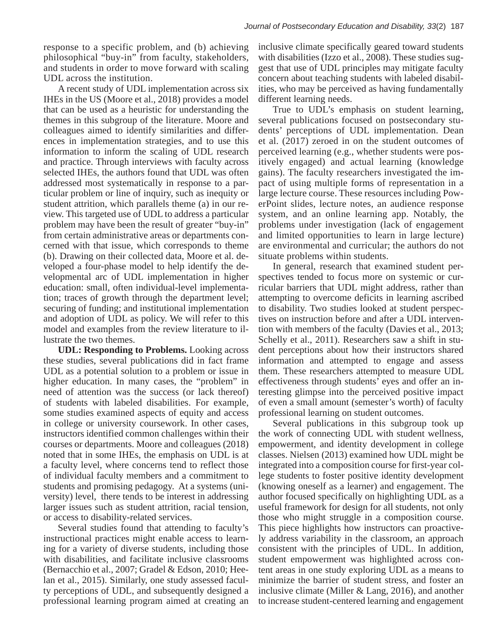response to a specific problem, and (b) achieving philosophical "buy-in" from faculty, stakeholders, and students in order to move forward with scaling UDL across the institution.

A recent study of UDL implementation across six IHEs in the US (Moore et al.,  $2018$ ) provides a model that can be used as a heuristic for understanding the themes in this subgroup of the literature. Moore and colleagues aimed to identify similarities and differences in implementation strategies, and to use this information to inform the scaling of UDL research and practice. Through interviews with faculty across selected IHEs, the authors found that UDL was often addressed most systematically in response to a particular problem or line of inquiry, such as inequity or student attrition, which parallels theme (a) in our review. This targeted use of UDL to address a particular problem may have been the result of greater "buy-in" from certain administrative areas or departments concerned with that issue, which corresponds to theme (b). Drawing on their collected data, Moore et al. developed a four-phase model to help identify the developmental arc of UDL implementation in higher education: small, often individual-level implementation; traces of growth through the department level; securing of funding; and institutional implementation and adoption of UDL as policy. We will refer to this model and examples from the review literature to illustrate the two themes.  $\frac{d}{dx}$  are a set of dependent with the integrative concerned with the integrative concerned with the integration of  $\frac{d}{dx}$ .

**UDL: Responding to Problems.** Looking across these studies, several publications did in fact frame UDL as a potential solution to a problem or issue in higher education. In many cases, the "problem" in need of attention was the success (or lack thereof) of students with labeled disabilities. For example, some studies examined aspects of equity and access in college or university coursework. In other cases, instructors identified common challenges within their courses or departments. Moore and colleagues (2018) noted that in some IHEs, the emphasis on UDL is at a faculty level, where concerns tend to reflect those of individual faculty members and a commitment to students and promising pedagogy. At a systems (university) level, there tends to be interest in addressing larger issues such as student attrition, racial tension, or access to disability-related services.

Several studies found that attending to faculty's instructional practices might enable access to learning for a variety of diverse students, including those with disabilities, and facilitate inclusive classrooms (Bernacchio et al., 2007; Gradel & Edson, 2010; Heelan et al., 2015). Similarly, one study assessed faculty perceptions of UDL, and subsequently designed a professional learning program aimed at creating an inclusive climate specifically geared toward students with disabilities (Izzo et al., 2008). These studies suggest that use of UDL principles may mitigate faculty concern about teaching students with labeled disabilities, who may be perceived as having fundamentally different learning needs.

True to UDL's emphasis on student learning, several publications focused on postsecondary students' perceptions of UDL implementation. Dean et al.  $(2017)$  zeroed in on the student outcomes of perceived learning (e.g., whether students were pospresented realing (eigit, whenever statements were positively engaged) and actual learning (knowledge ratively engaged) and detail realing (the wreage gains). The faculty researchers investigated the imgains). The tacary researchers investigated the million pact of using multiple forms of representation in a pact of using matriple forms of representation in a<br>large lecture course. These resources including PowerPoint slides, lecture notes, an audience response system, and an online learning app. Notably, the problems under investigation (lack of engagement and limited opportunities to learn in large lecture) are environmental and curricular; the authors do not situate problems within students. large lecture course. These resources including is

In general, research that examined student perspectives tended to focus more on systemic or curricular barriers that UDL might address, rather than attempting to overcome deficits in learning ascribed to disability. Two studies looked at student perspectives on instruction before and after a UDL intervention with members of the faculty (Davies et al., 2013; Schelly et al., 2011). Researchers saw a shift in student perceptions about how their instructors shared information and attempted to engage and assess them. These researchers attempted to measure UDL effectiveness through students' eyes and offer an interesting glimpse into the perceived positive impact of even a small amount (semester's worth) of faculty professional learning on student outcomes.

Several publications in this subgroup took up the work of connecting UDL with student wellness, empowerment, and identity development in college classes. Nielsen (2013) examined how UDL might be integrated into a composition course for first-year coland foster and foster positive identity development lege students to foster positive identity development (knowing oneself as a learner) and engagement. The author focused specifically on highlighting UDL as a useful framework for design for all students, not only those who might struggle in a composition course. This piece highlights how instructors can proactively address variability in the classroom, an approach consistent with the principles of UDL. In addition, student empowerment was highlighted across content areas in one study exploring UDL as a means to minimize the barrier of student stress, and foster an inclusive climate (Miller & Lang, 2016), and another to increase student-centered learning and engagement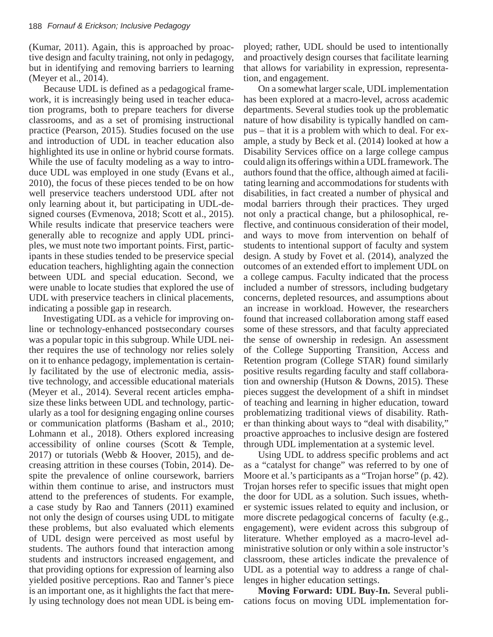(Kumar, 2011). Again, this is approached by proactive design and faculty training, not only in pedagogy, but in identifying and removing barriers to learning  $(Meyer et al., 2014).$ 

Because UDL is defined as a pedagogical framework, it is increasingly being used in teacher education programs, both to prepare teachers for diverse classrooms, and as a set of promising instructional practice (Pearson, 2015). Studies focused on the use and introduction of UDL in teacher education also highlighted its use in online or hybrid course formats. While the use of faculty modeling as a way to introduce UDL was employed in one study (Evans et al.,  $2010$ ), the focus of these pieces tended to be on how  $2010$ . zoro), the rocal or these precess tended to be on now well preservice teachers understood UDL after not only learning about it, but participating in UDL-designed courses (Evmenova, 2018; Scott et al., 2015). While results indicate that preservice teachers were generally able to recognize and apply UDL principles, we must note two important points. First, participants in these studies tended to be preservice special education teachers, highlighting again the connection between UDL and special education. Second, we were unable to locate studies that explored the use of UDL with preservice teachers in clinical placements, indicating a possible gap in research. we preserve teachers and stood ODL and

Investigating UDL as a vehicle for improving online or technology-enhanced postsecondary courses was a popular topic in this subgroup. While UDL neither requires the use of technology nor relies solely on it to enhance pedagogy, implementation is certainly facilitated by the use of electronic media, assistive technology, and accessible educational materials (Meyer et al., 2014). Several recent articles emphasize these links between UDL and technology, particularly as a tool for designing engaging online courses or communication platforms (Basham et al., 2010; Lohmann et al., 2018). Others explored increasing accessibility of online courses (Scott  $\&$  Temple, 2017) or tutorials (Webb & Hoover, 2015), and decreasing attrition in these courses (Tobin, 2014). Despite the prevalence of online coursework, barriers within them continue to arise, and instructors must attend to the preferences of students. For example, a case study by Rao and Tanners (2011) examined not only the design of courses using UDL to mitigate these problems, but also evaluated which elements of UDL design were perceived as most useful by students. The authors found that interaction among students and instructors increased engagement, and that providing options for expression of learning also yielded positive perceptions. Rao and Tanner's piece is an important one, as it highlights the fact that merely using technology does not mean UDL is being employed; rather, UDL should be used to intentionally and proactively design courses that facilitate learning that allows for variability in expression, representa- $\frac{1}{2}$  tion, and engagement.

On a somewhat larger scale, UDL implementation has been explored at a macro-level, across academic departments. Several studies took up the problematic nature of how disability is typically handled on campus – that it is a problem with which to deal. For example, a study by Beck et al. (2014) looked at how a ample, a stady by Beek et al. (2011) foshed at now a Disability Services office on a large college campus Bistantly between once on a harge conege campus could align its offerings within a UDL framework. The authors found that the office, although aimed at facilitating learning and accommodations for students with disabilities, in fact created a number of physical and modal barriers through their practices. They urged not only a practical change, but a philosophical, reflective, and continuous consideration of their model, and ways to move from intervention on behalf of students to intentional support of faculty and system design. A study by Fovet et al. (2014), analyzed the outcomes of an extended effort to implement UDL on a college campus. Faculty indicated that the process included a number of stressors, including budgetary concerns, depleted resources, and assumptions about an increase in workload. However, the researchers found that increased collaboration among staff eased some of these stressors, and that faculty appreciated the sense of ownership in redesign. An assessment of the College Supporting Transition, Access and Retention program (College STAR) found similarly positive results regarding faculty and staff collaboration and ownership (Hutson & Downs, 2015). These pieces suggest the development of a shift in mindset of teaching and learning in higher education, toward problematizing traditional views of disability. Rather than thinking about ways to "deal with disability," proactive approaches to inclusive design are fostered through UDL implementation at a systemic level. authors round that the orrier, and organisation

Using UDL to address specific problems and act as a "catalyst for change" was referred to by one of Moore et al.'s participants as a "Trojan horse"  $(p. 42)$ . Trojan horses refer to specific issues that might open  $\Gamma$ the door for UDL as a solution. Such issues, whether systemic issues related to equity and inclusion, or more discrete pedagogical concerns of faculty (e.g., engagement), were evident across this subgroup of literature. Whether employed as a macro-level administrative solution or only within a sole instructor's classroom, these articles indicate the prevalence of UDL as a potential way to address a range of challenges in higher education settings.

**Moving Forward: UDL Buy-In.** Several publications focus on moving UDL implementation for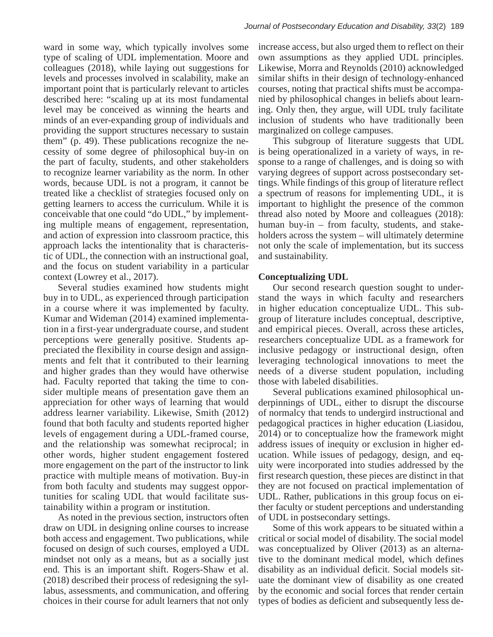ward in some way, which typically involves some type of scaling of UDL implementation. Moore and colleagues (2018), while laying out suggestions for levels and processes involved in scalability, make an important point that is particularly relevant to articles described here: "scaling up at its most fundamental level may be conceived as winning the hearts and minds of an ever-expanding group of individuals and providing the support structures necessary to sustain them"  $(p. 49)$ . These publications recognize the necessity of some degree of philosophical buy-in on the part of faculty, students, and other stakeholders to recognize learner variability as the norm. In other to recognize fearner variabling as the norm. In other words, because UDL is not a program, it cannot be words, because ODE is not a program, recalled the a checklist of strategies focused only on getting learners to access the curriculum. While it is conceivable that one could "do UDL," by implementing multiple means of engagement, representation, and action of expression into classroom practice, this approach lacks the intentionality that is characteristic of UDL, the connection with an instructional goal, and the focus on student variability in a particular context (Lowrey et al., 2017). a checking of strategies rocused only of

Several studies examined how students might buy in to UDL, as experienced through participation in a course where it was implemented by faculty. Kumar and Wideman (2014) examined implementation in a first-year undergraduate course, and student perceptions were generally positive. Students appreciated the flexibility in course design and assignments and felt that it contributed to their learning and higher grades than they would have otherwise had. Faculty reported that taking the time to consider multiple means of presentation gave them an appreciation for other ways of learning that would address learner variability. Likewise, Smith (2012) found that both faculty and students reported higher levels of engagement during a UDL-framed course, and the relationship was somewhat reciprocal; in other words, higher student engagement fostered more engagement on the part of the instructor to link practice with multiple means of motivation. Buy-in from both faculty and students may suggest opportunities for scaling UDL that would facilitate sustainability within a program or institution.

As noted in the previous section, instructors often draw on UDL in designing online courses to increase both access and engagement. Two publications, while focused on design of such courses, employed a UDL mindset not only as a means, but as a socially just end. This is an important shift. Rogers-Shaw et al. (2018) described their process of redesigning the syllabus, assessments, and communication, and offering choices in their course for adult learners that not only

increase access, but also urged them to reflect on their own assumptions as they applied UDL principles. Likewise, Morra and Reynolds (2010) acknowledged similar shifts in their design of technology-enhanced courses, noting that practical shifts must be accompanied by philosophical changes in beliefs about learning. Only then, they argue, will UDL truly facilitate inclusion of students who have traditionally been marginalized on college campuses.

This subgroup of literature suggests that UDL is being operationalized in a variety of ways, in response to a range of challenges, and is doing so with varying degrees of support across postsecondary setthe findings of this group of literature reflect tings. While findings of this group of literature reflect a spectrum of reasons for implementing UDL, it is important to highlight the presence of the common  $\frac{1}{2}$ thread also noted by Moore and colleagues (2018): human buy-in – from faculty, students, and stakeholders across the system – will ultimately determine not only the scale of implementation, but its success and sustainability.  $\mu$  spectrum of reasons for implementing ODD, it is

## **Conceptualizing UDL**

Our second research question sought to understand the ways in which faculty and researchers in higher education conceptualize UDL. This subgroup of literature includes conceptual, descriptive, and empirical pieces. Overall, across these articles, researchers conceptualize UDL as a framework for inclusive pedagogy or instructional design, often leveraging technological innovations to meet the needs of a diverse student population, including those with labeled disabilities.

Several publications examined philosophical underpinnings of UDL, either to disrupt the discourse of normalcy that tends to undergird instructional and pedagogical practices in higher education (Liasidou,  $2014$ ) or to conceptualize how the framework might address issues of inequity or exclusion in higher education. While issues of pedagogy, design, and equity were incorporated into studies addressed by the any were meet pointed most staties daries are by the first research question, these pieces are distinct in that they are not focused on practical implementation of UDL. Rather, publications in this group focus on either faculty or student perceptions and understanding of UDL in postsecondary settings. conceptualized by Oliver (2013) and alternative to the dominant of dominant to the dominant of the dominant of the dominant of the dominant of the dominant of the dominant of the dominant of the dominant of the dominant of

Some of this work appears to be situated within a critical or social model of disability. The social model was conceptualized by Oliver (2013) as an alternative to the dominant medical model, which defines disability as an individual deficit. Social models situate the dominant view of disability as one created by the economic and social forces that render certain types of bodies as deficient and subsequently less de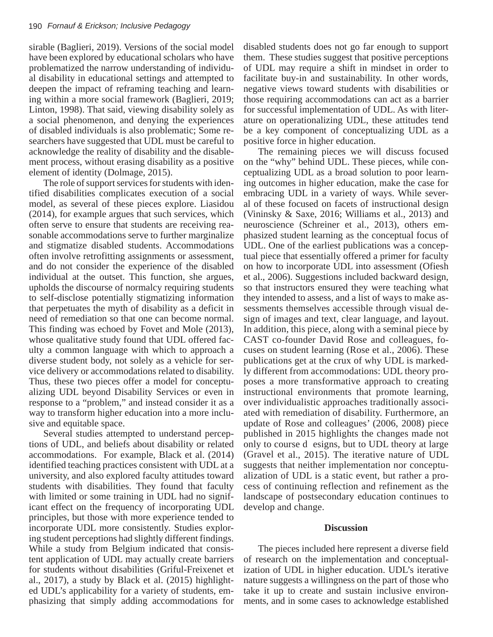sirable (Baglieri, 2019). Versions of the social model have been explored by educational scholars who have problematized the narrow understanding of individual disability in educational settings and attempted to deepen the impact of reframing teaching and learning within a more social framework (Baglieri, 2019; Linton, 1998). That said, viewing disability solely as a social phenomenon, and denying the experiences of disabled individuals is also problematic; Some researchers have suggested that UDL must be careful to acknowledge the reality of disability and the disablement process, without erasing disability as a positive element of identity (Dolmage, 2015).

The role of support services for students with identified disabilities complicates execution of a social model, as several of these pieces explore. Liasidou  $(2014)$ , for example argues that such services, which often serve to ensure that students are receiving reasonable accommodations serve to further marginalize and stigmatize disabled students. Accommodations often involve retrofitting assignments or assessment, and do not consider the experience of the disabled individual at the outset. This function, she argues, upholds the discourse of normalcy requiring students to self-disclose potentially stigmatizing information that perpetuates the myth of disability as a deficit in need of remediation so that one can become normal. This finding was echoed by Fovet and Mole (2013), whose qualitative study found that UDL offered faculty a common language with which to approach a diverse student body, not solely as a vehicle for service delivery or accommodations related to disability. Thus, these two pieces offer a model for conceptualizing UDL beyond Disability Services or even in response to a "problem," and instead consider it as a way to transform higher education into a more inclusive and equitable space. reasonable accommodations served to fund a society

Several studies attempted to understand perceptions of UDL, and beliefs about disability or related accommodations. For example, Black et al. (2014) identified teaching practices consistent with UDL at a university, and also explored faculty attitudes toward students with disabilities. They found that faculty with limited or some training in UDL had no significant effect on the frequency of incorporating UDL principles, but those with more experience tended to incorporate UDL more consistently. Studies exploring student perceptions had slightly different findings. While a study from Belgium indicated that consistent application of UDL may actually create barriers for students without disabilities (Griful-Freixenet et al., 2017), a study by Black et al. (2015) highlighted UDL's applicability for a variety of students, emphasizing that simply adding accommodations for

disabled students does not go far enough to support them. These studies suggest that positive perceptions of UDL may require a shift in mindset in order to facilitate buy-in and sustainability. In other words, negative views toward students with disabilities or those requiring accommodations can act as a barrier for successful implementation of UDL. As with literature on operationalizing UDL, these attitudes tend be a key component of conceptualizing UDL as a positive force in higher education.

The remaining pieces we will discuss focused on the "why" behind UDL. These pieces, while conceptualizing UDL as a broad solution to poor learnexplantling  $\overline{CDE}$  as a stolar solution to poor ream ing outcomes in higher education, make the case for embracing UDL in a variety of ways. While several of these focused on facets of instructional design  $\overline{C}$ (Vininsky & Saxe, 2016; Williams et al., 2013) and neuroscience (Schreiner et al., 2013), others emphasized student learning as the conceptual focus of UDL. One of the earliest publications was a conceptual piece that essentially offered a primer for faculty on how to incorporate UDL into assessment (Ofiesh et al., 2006). Suggestions included backward design, so that instructors ensured they were teaching what they intended to assess, and a list of ways to make assessments themselves accessible through visual design of images and text, clear language, and layout. In addition, this piece, along with a seminal piece by CAST co-founder David Rose and colleagues, focuses on student learning (Rose et al., 2006). These publications get at the crux of why UDL is markedly different from accommodations: UDL theory proposes a more transformative approach to creating instructional environments that promote learning, over individualistic approaches traditionally associated with remediation of disability. Furthermore, an update of Rose and colleagues' (2006, 2008) piece published in 2015 highlights the changes made not only to course d esigns, but to UDL theory at large (Gravel et al., 2015). The iterative nature of UDL suggests that neither implementation nor conceptualization of UDL is a static event, but rather a process of continuing reflection and refinement as the landscape of postsecondary education continues to develop and change.  $\frac{1}{2}$  for  $\frac{1}{2}$  for  $\frac{1}{2}$  for  $\frac{1}{2}$  for  $\frac{1}{2}$  for  $\frac{1}{2}$  for  $\frac{1}{2}$  for  $\frac{1}{2}$  for  $\frac{1}{2}$  for  $\frac{1}{2}$  for  $\frac{1}{2}$  for  $\frac{1}{2}$  for  $\frac{1}{2}$  for  $\frac{1}{2}$  for  $\frac{1}{2}$  for  $\frac{1}{2}$  f

#### **Discussion**

The pieces included here represent a diverse field of research on the implementation and conceptualization of UDL in higher education. UDL's iterative nature suggests a willingness on the part of those who take it up to create and sustain inclusive environments, and in some cases to acknowledge established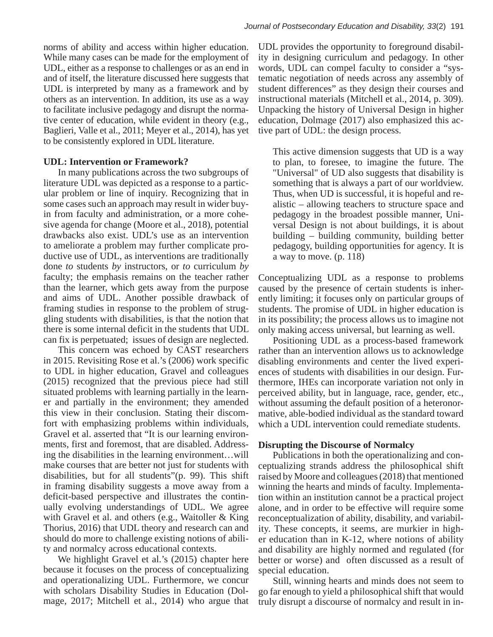norms of ability and access within higher education. While many cases can be made for the employment of UDL, either as a response to challenges or as an end in and of itself, the literature discussed here suggests that UDL is interpreted by many as a framework and by others as an intervention. In addition, its use as a way to facilitate inclusive pedagogy and disrupt the normative center of education, while evident in theory (e.g., Baglieri, Valle et al., 2011; Meyer et al., 2014), has yet to be consistently explored in UDL literature.

#### **UDL: Intervention or Framework?**

In many publications across the two subgroups of literature UDL was depicted as a response to a particular problem or line of inquiry. Recognizing that in some cases such an approach may result in wider buyin from faculty and administration, or a more cohesive agenda for change (Moore et al., 2018), potential drawbacks also exist. UDL's use as an intervention to ameliorate a problem may further complicate productive use of UDL, as interventions are traditionally done *to* students *by* instructors, or *to* curriculum *by* faculty; the emphasis remains on the teacher rather than the learner, which gets away from the purpose and aims of UDL. Another possible drawback of framing studies in response to the problem of struggling students with disabilities, is that the notion that there is some internal deficit in the students that UDL can fix is perpetuated; issues of design are neglected.

This concern was echoed by CAST researchers in 2015. Revisiting Rose et al.'s (2006) work specific to UDL in higher education, Gravel and colleagues  $(2015)$  recognized that the previous piece had still situated problems with learning partially in the learner and partially in the environment; they amended this view in their conclusion. Stating their discomfort with emphasizing problems within individuals, Gravel et al. asserted that "It is our learning environments, first and foremost, that are disabled. Addressing the disabilities in the learning environment...will make courses that are better not just for students with disabilities, but for all students" $(p. 99)$ . This shift in framing disability suggests a move away from a deficit-based perspective and illustrates the continually evolving understandings of UDL. We agree with Gravel et al. and others (e.g., Waitoller & King Thorius, 2016) that UDL theory and research can and should do more to challenge existing notions of ability and normalcy across educational contexts.  $\omega$  ODE in inglicit culcation, Gravel and Concag

We highlight Gravel et al.'s (2015) chapter here because it focuses on the process of conceptualizing and operationalizing UDL. Furthermore, we concur with scholars Disability Studies in Education (Dolmage, 2017; Mitchell et al., 2014) who argue that UDL provides the opportunity to foreground disability in designing curriculum and pedagogy. In other words, UDL can compel faculty to consider a "systematic negotiation of needs across any assembly of student differences" as they design their courses and instructional materials (Mitchell et al., 2014, p. 309). Unpacking the history of Universal Design in higher education, Dolmage (2017) also emphasized this active part of UDL: the design process.

This active dimension suggests that UD is a way to plan, to foresee, to imagine the future. The "Universal" of UD also suggests that disability is something that is always a part of our worldview. Thus, when UD is successful, it is hopeful and realistic – allowing teachers to structure space and pedagogy in the broadest possible manner, Universal Design is not about buildings, it is about building - building community, building better pedagogy, building opportunities for agency. It is a way to move. (p. 118)

Conceptualizing UDL as a response to problems caused by the presence of certain students is inherently limiting; it focuses only on particular groups of students. The promise of UDL in higher education is in its possibility; the process allows us to imagine not only making access universal, but learning as well.

Positioning UDL as a process-based framework rather than an intervention allows us to acknowledge disabling environments and center the lived experiences of students with disabilities in our design. Furthermore, IHEs can incorporate variation not only in perceived ability, but in language, race, gender, etc., without assuming the default position of a heteronormative, able-bodied individual as the standard toward which a UDL intervention could remediate students.

#### **Disrupting the Discourse of Normalcy**

Publications in both the operationalizing and conceptualizing strands address the philosophical shift raised by Moore and colleagues (2018) that mentioned winning the hearts and minds of faculty. Implementation within an institution cannot be a practical project alone, and in order to be effective will require some reconceptualization of ability, disability, and variability. These concepts, it seems, are murkier in higher education than in K-12, where notions of ability and disability are highly normed and regulated (for better or worse) and often discussed as a result of special education.

Still, winning hearts and minds does not seem to go far enough to yield a philosophical shift that would truly disrupt a discourse of normalcy and result in in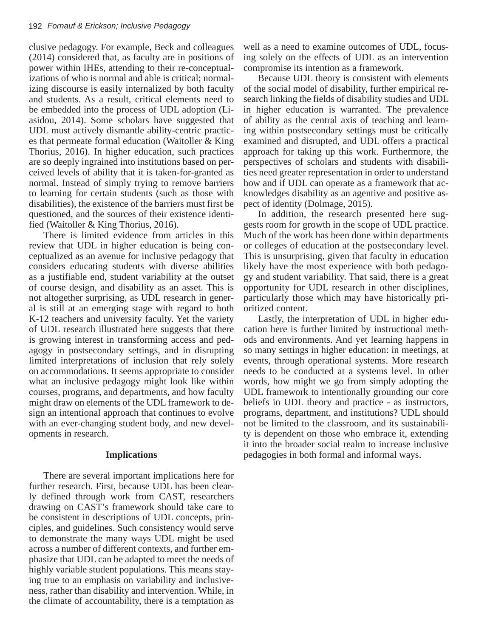clusive pedagogy. For example, Beck and colleagues  $(2014)$  considered that, as faculty are in positions of power within IHEs, attending to their re-conceptualizations of who is normal and able is critical; normalizing discourse is easily internalized by both faculty and students. As a result, critical elements need to be embedded into the process of UDL adoption (Liasidou, 2014). Some scholars have suggested that UDL must actively dismantle ability-centric practices that permeate formal education (Waitoller & King Thorius, 2016). In higher education, such practices are so deeply ingrained into institutions based on perare so deeply ingrained mis institutions sased on perceived levels of ability that it is taken-for-granted as normal. Instead of simply trying to remove barriers to learning for certain students (such as those with the learning for certain students (such as those with to realing for existence of the barriers must first be disabilities), the existence of the barriers must first be questioned, and the sources of their existence identified (Waitoller & King Thorius, 2016).  $\alpha$ s and  $\alpha$  inclusive personalized as a  $\alpha$  inclusive personalized personalized personalized personalized personalized personalized personalized personalized personalized personalized personalized personalized persona

There is limited evidence from articles in this review that UDL in higher education is being conceptualized as an avenue for inclusive pedagogy that considers educating students with diverse abilities as a justifiable end, student variability at the outset of course design, and disability as an asset. This is not altogether surprising, as UDL research in general is still at an emerging stage with regard to both K-12 teachers and university faculty. Yet the variety of UDL research illustrated here suggests that there is growing interest in transforming access and pedagogy in postsecondary settings, and in disrupting limited interpretations of inclusion that rely solely on accommodations. It seems appropriate to consider what an inclusive pedagogy might look like within courses, programs, and departments, and how faculty might draw on elements of the UDL framework to design an intentional approach that continues to evolve with an ever-changing student body, and new developments in research.

#### **Implications**

There are several important implications here for further research. First, because UDL has been clearly defined through work from CAST, researchers drawing on CAST's framework should take care to be consistent in descriptions of UDL concepts, principles, and guidelines. Such consistency would serve to demonstrate the many ways UDL might be used across a number of different contexts, and further emphasize that UDL can be adapted to meet the needs of highly variable student populations. This means staying true to an emphasis on variability and inclusiveness, rather than disability and intervention. While, in the climate of accountability, there is a temptation as

well as a need to examine outcomes of UDL, focusing solely on the effects of UDL as an intervention compromise its intention as a framework.

Because UDL theory is consistent with elements of the social model of disability, further empirical research linking the fields of disability studies and UDL in higher education is warranted. The prevalence of ability as the central axis of teaching and learning within postsecondary settings must be critically examined and disrupted, and UDL offers a practical approach for taking up this work. Furthermore, the approach for dating up this work. I difference, the perspectives of scholars and students with disabiliperspectives of senotars and statents with disabilities need greater representation in order to understand how and if UDL can operate as a framework that acknowledges disability as an agentive and positive aspect of identity (Dolmage, 2015). are respectively presented in order to understand

In addition, the research presented here suggests room for growth in the scope of UDL practice. Much of the work has been done within departments or colleges of education at the postsecondary level. This is unsurprising, given that faculty in education likely have the most experience with both pedagogy and student variability. That said, there is a great opportunity for UDL research in other disciplines, particularly those which may have historically prioritized content.

Lastly, the interpretation of UDL in higher education here is further limited by instructional methods and environments. And yet learning happens in so many settings in higher education: in meetings, at events, through operational systems. More research needs to be conducted at a systems level. In other words, how might we go from simply adopting the UDL framework to intentionally grounding our core beliefs in UDL theory and practice - as instructors, programs, department, and institutions? UDL should not be limited to the classroom, and its sustainability is dependent on those who embrace it, extending it into the broader social realm to increase inclusive pedagogies in both formal and informal ways.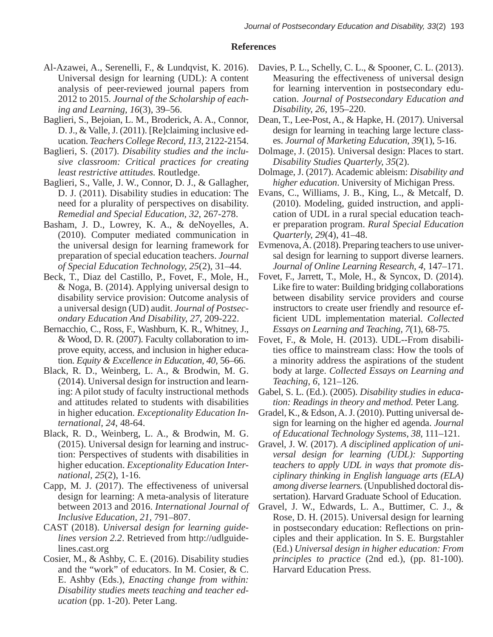## **References**

- Al-Azawei, A., Serenelli, F., & Lundqvist, K. 2016). Universal design for learning (UDL): A content analysis of peer-reviewed journal papers from 2012 to 2015. *Journal of the Scholarship of eaching and Learning, 16*(3), 39–56.
- Baglieri, S., Bejoian, L. M., Broderick, A. A., Connor, D. J., & Valle, J. (2011). [Re]claiming inclusive education. *Teachers College Record, 113,* 2122-2154.
- Baglieri, S. (2017). *Disability studies and the inclusive classroom: Critical practices for creating least restrictive attitudes.* Routledge.
- Baglieri, S., Valle, J. W., Connor, D. J., & Gallagher, D. J. (2011). Disability studies in education: The need for a plurality of perspectives on disability. *Remedial and Special Education, 32*, 267-278.
- Basham, J. D., Lowrey, K. A., & deNoyelles, A. (2010). Computer mediated communication in the universal design for learning framework for preparation of special education teachers. *Journal of Special Education Technology, 25*(2), 31–44.
- Beck, T., Diaz del Castillo, P., Fovet, F., Mole, H., & Noga, B. (2014). Applying universal design to disability service provision: Outcome analysis of a universal design (UD) audit. *Journal of Postsecondary Education And Disability, 27*, 209-222.
- Bernacchio, C., Ross, F., Washburn, K. R., Whitney, J., & Wood, D. R. (2007). Faculty collaboration to improve equity, access, and inclusion in higher education. *Equity & Excellence in Education, 40,* 56–66.
- Black, R. D., Weinberg, L. A., & Brodwin, M. G. (2014). Universal design for instruction and learning: A pilot study of faculty instructional methods and attitudes related to students with disabilities in higher education. *Exceptionality Education International, 24*, 48-64.
- Black, R. D., Weinberg, L. A., & Brodwin, M. G. (2015). Universal design for learning and instruction: Perspectives of students with disabilities in higher education. *Exceptionality Education International, 25*(2), 1-16.
- Capp, M. J. (2017). The effectiveness of universal design for learning: A meta-analysis of literature between 2013 and 2016. *International Journal of Inclusive Education, 21,* 791–807.
- CAST (2018). *Universal design for learning guidelines version 2.2*. Retrieved from http://udlguidelines.cast.org
- Cosier, M., & Ashby, C. E. (2016). Disability studies and the "work" of educators. In M. Cosier, & C. E. Ashby (Eds.), *Enacting change from within: Disability studies meets teaching and teacher education* (pp. 1-20). Peter Lang.
- Davies, P. L., Schelly, C. L., & Spooner, C. L. (2013). Measuring the effectiveness of universal design for learning intervention in postsecondary education. *Journal of Postsecondary Education and Disability, 26*, 195–220.
- Dean, T., Lee-Post, A., & Hapke, H. (2017). Universal design for learning in teaching large lecture classes. *Journal of Marketing Education, 39*(1), 5-16.
- Dolmage, J. (2015). Universal design: Places to start. *Disability Studies Quarterly, 35*(2).
- Dolmage, J. (2017). Academic ableism: *Disability and higher education*. University of Michigan Press.
- Evans, C., Williams, J. B., King, L., & Metcalf, D. (2010). Modeling, guided instruction, and application of UDL in a rural special education teacher preparation program. *Rural Special Education Quarterly, 29*(4), 41–48.
- Evmenova, A. (2018). Preparing teachers to use universal design for learning to support diverse learners. *Journal of Online Learning Research, 4,* 147–171.
- Fovet, F., Jarrett, T., Mole, H., & Syncox, D. (2014). Like fire to water: Building bridging collaborations between disability service providers and course instructors to create user friendly and resource efficient UDL implementation material. *Collected Essays on Learning and Teaching, 7*(1), 68-75.
- Fovet, F., & Mole, H. (2013). UDL--From disabilities office to mainstream class: How the tools of a minority address the aspirations of the student body at large. *Collected Essays on Learning and Teaching, 6*, 121–126.
- Gabel, S. L. (Ed.). (2005). *Disability studies in education: Readings in theory and method.* Peter Lang.
- Gradel, K., & Edson, A. J. (2010). Putting universal design for learning on the higher ed agenda. *Journal of Educational Technology Systems, 38,* 111–121.
- Gravel, J. W. (2017). *A disciplined application of universal design for learning (UDL): Supporting teachers to apply UDL in ways that promote disciplinary thinking in English language arts (ELA) among diverse learners.* (Unpublished doctoral dissertation). Harvard Graduate School of Education.
- Gravel, J. W., Edwards, L. A., Buttimer, C. J., & Rose, D. H. (2015). Universal design for learning in postsecondary education: Reflections on principles and their application. In S. E. Burgstahler (Ed.) *Universal design in higher education: From principles to practice* (2nd ed.), (pp. 81-100). Harvard Education Press.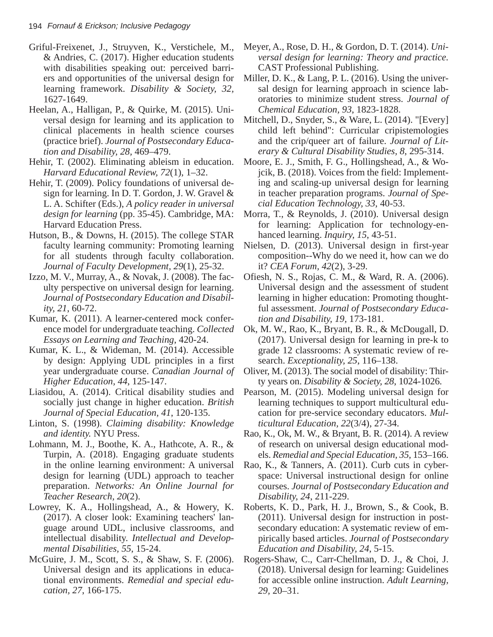- Griful-Freixenet, J., Struyven, K., Verstichele, M., & Andries, C. (2017). Higher education students with disabilities speaking out: perceived barriers and opportunities of the universal design for learning framework. *Disability & Society, 32,*  1627-1649.
- Heelan, A., Halligan, P., & Quirke, M. (2015). Universal design for learning and its application to clinical placements in health science courses (practice brief). *Journal of Postsecondary Education and Disability, 28,* 469–479.
- Hehir, T. (2002). Eliminating ableism in education. *Harvard Educational Review, 72*(1), 1–32.
- Hehir, T. (2009). Policy foundations of universal design for learning. In D. T. Gordon, J. W. Gravel & L. A. Schifter (Eds.), *A policy reader in universal design for learning* (pp. 35-45). Cambridge, MA: Harvard Education Press.
- Hutson, B., & Downs, H. (2015). The college STAR faculty learning community: Promoting learning for all students through faculty collaboration. *Journal of Faculty Development, 29*(1), 25-32.
- Izzo, M. V., Murray, A., & Novak, J. (2008). The faculty perspective on universal design for learning. *Journal of Postsecondary Education and Disability, 21*, 60-72.
- Kumar, K. (2011). A learner-centered mock conference model for undergraduate teaching. *Collected Essays on Learning and Teaching*, 420-24.
- Kumar, K. L., & Wideman, M. (2014). Accessible by design: Applying UDL principles in a first year undergraduate course. *Canadian Journal of Higher Education, 44*, 125-147.
- Liasidou, A. (2014). Critical disability studies and socially just change in higher education. *British Journal of Special Education, 41*, 120-135.
- Linton, S. (1998). *Claiming disability: Knowledge and identity.* NYU Press.
- Lohmann, M. J., Boothe, K. A., Hathcote, A. R., & Turpin, A. (2018). Engaging graduate students in the online learning environment: A universal design for learning (UDL) approach to teacher preparation. *Networks: An Online Journal for Teacher Research, 20*(2).
- Lowrey, K. A., Hollingshead, A., & Howery, K. (2017). A closer look: Examining teachers' language around UDL, inclusive classrooms, and intellectual disability. *Intellectual and Developmental Disabilities, 55*, 15-24.
- McGuire, J. M., Scott, S. S., & Shaw, S. F. (2006). Universal design and its applications in educational environments. *Remedial and special education, 27*, 166-175.
- Meyer, A., Rose, D. H., & Gordon, D. T. (2014). *Universal design for learning: Theory and practice.*  CAST Professional Publishing.
- Miller, D. K., & Lang, P. L. (2016). Using the universal design for learning approach in science laboratories to minimize student stress. *Journal of Chemical Education, 93*, 1823-1828.
- Mitchell, D., Snyder, S., & Ware, L. (2014). "[Every] child left behind": Curricular cripistemologies and the crip/queer art of failure. *Journal of Literary & Cultural Disability Studies, 8*, 295-314.
- Moore, E. J., Smith, F. G., Hollingshead, A., & Wojcik, B. (2018). Voices from the field: Implementing and scaling-up universal design for learning in teacher preparation programs. *Journal of Special Education Technology, 33,* 40-53.
- Morra, T., & Reynolds, J. (2010). Universal design for learning: Application for technology-enhanced learning. *Inquiry, 15*, 43-51.
- Nielsen, D. (2013). Universal design in first-year composition--Why do we need it, how can we do it? *CEA Forum, 42*(2), 3-29.
- Ofiesh, N. S., Rojas, C. M., & Ward, R. A. (2006). Universal design and the assessment of student learning in higher education: Promoting thoughtful assessment. *Journal of Postsecondary Education and Disability, 19,* 173-181.
- Ok, M. W., Rao, K., Bryant, B. R., & McDougall, D. (2017). Universal design for learning in pre-k to grade 12 classrooms: A systematic review of research. *Exceptionality, 25*, 116–138.
- Oliver, M. (2013). The social model of disability: Thirty years on. *Disability & Society, 28*, 1024-1026.
- Pearson, M. (2015). Modeling universal design for learning techniques to support multicultural education for pre-service secondary educators. *Multicultural Education, 22*(3/4), 27-34.
- Rao, K., Ok, M. W., & Bryant, B. R. (2014). A review of research on universal design educational models. *Remedial and Special Education, 35,* 153–166.
- Rao, K., & Tanners, A. (2011). Curb cuts in cyberspace: Universal instructional design for online courses. *Journal of Postsecondary Education and Disability, 24*, 211-229.
- Roberts, K. D., Park, H. J., Brown, S., & Cook, B. (2011). Universal design for instruction in postsecondary education: A systematic review of empirically based articles. *Journal of Postsecondary Education and Disability, 24*, 5-15.
- Rogers-Shaw, C., Carr-Chellman, D. J., & Choi, J. (2018). Universal design for learning: Guidelines for accessible online instruction. *Adult Learning, 29,* 20–31.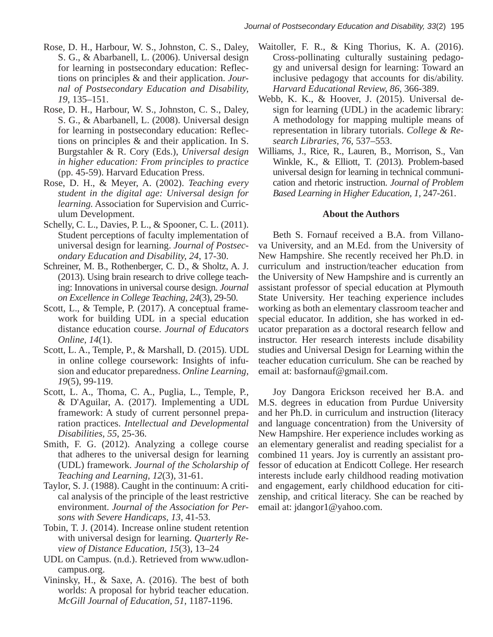- Rose, D. H., Harbour, W. S., Johnston, C. S., Daley, S. G., & Abarbanell, L. (2006). Universal design for learning in postsecondary education: Reflections on principles & and their application. *Journal of Postsecondary Education and Disability, 19*, 135–151.
- Rose, D. H., Harbour, W. S., Johnston, C. S., Daley, S. G., & Abarbanell, L. (2008). Universal design for learning in postsecondary education: Reflections on principles & and their application. In S. Burgstahler & R. Cory (Eds.), *Universal design in higher education: From principles to practice*  (pp. 45-59). Harvard Education Press.
- Rose, D. H., & Meyer, A. (2002). *Teaching every student in the digital age: Universal design for learning.* Association for Supervision and Curriculum Development.
- Schelly, C. L., Davies, P. L., & Spooner, C. L. (2011). Student perceptions of faculty implementation of universal design for learning. *Journal of Postsecondary Education and Disability, 24*, 17-30.
- Schreiner, M. B., Rothenberger, C. D., & Sholtz, A. J. (2013). Using brain research to drive college teaching: Innovations in universal course design. *Journal on Excellence in College Teaching, 24*(3), 29-50.
- Scott, L., & Temple, P. (2017). A conceptual framework for building UDL in a special education distance education course. *Journal of Educators Online, 14*(1).
- Scott, L. A., Temple, P., & Marshall, D. (2015). UDL in online college coursework: Insights of infusion and educator preparedness. *Online Learning, 19*(5), 99-119.
- Scott, L. A., Thoma, C. A., Puglia, L., Temple, P., & D'Aguilar, A. (2017). Implementing a UDL framework: A study of current personnel preparation practices. *Intellectual and Developmental Disabilities, 55*, 25-36.
- Smith, F. G. (2012). Analyzing a college course that adheres to the universal design for learning (UDL) framework. *Journal of the Scholarship of Teaching and Learning, 12*(3), 31-61.
- Taylor, S. J. (1988). Caught in the continuum: A critical analysis of the principle of the least restrictive environment. *Journal of the Association for Persons with Severe Handicaps, 13*, 41-53.
- Tobin, T. J. (2014). Increase online student retention with universal design for learning. *Quarterly Review of Distance Education, 15*(3), 13–24
- UDL on Campus. (n.d.). Retrieved from www.udloncampus.org.
- Vininsky, H., & Saxe, A. (2016). The best of both worlds: A proposal for hybrid teacher education. *McGill Journal of Education, 51*, 1187-1196.
- Waitoller, F. R., & King Thorius, K. A. (2016). Cross-pollinating culturally sustaining pedagogy and universal design for learning: Toward an inclusive pedagogy that accounts for dis/ability. *Harvard Educational Review, 86,* 366-389.
- Webb, K. K., & Hoover, J. (2015). Universal design for learning (UDL) in the academic library: A methodology for mapping multiple means of representation in library tutorials. *College & Research Libraries, 76*, 537–553.
- Williams, J., Rice, R., Lauren, B., Morrison, S., Van Winkle, K., & Elliott, T. (2013). Problem-based universal design for learning in technical communication and rhetoric instruction. *Journal of Problem Based Learning in Higher Education, 1,* 247-261.

## **About the Authors**

Beth S. Fornauf received a B.A. from Villanova University, and an M.Ed. from the University of New Hampshire. She recently received her Ph.D. in curriculum and instruction/teacher education from the University of New Hampshire and is currently an assistant professor of special education at Plymouth State University. Her teaching experience includes working as both an elementary classroom teacher and special educator. In addition, she has worked in educator preparation as a doctoral research fellow and instructor. Her research interests include disability studies and Universal Design for Learning within the teacher education curriculum. She can be reached by email at: basfornauf@gmail.com.

Joy Dangora Erickson received her B.A. and M.S. degrees in education from Purdue University and her Ph.D. in curriculum and instruction (literacy and language concentration) from the University of New Hampshire. Her experience includes working as an elementary generalist and reading specialist for a combined 11 years. Joy is currently an assistant professor of education at Endicott College. Her research interests include early childhood reading motivation and engagement, early childhood education for citizenship, and critical literacy. She can be reached by email at: jdangor1@yahoo.com.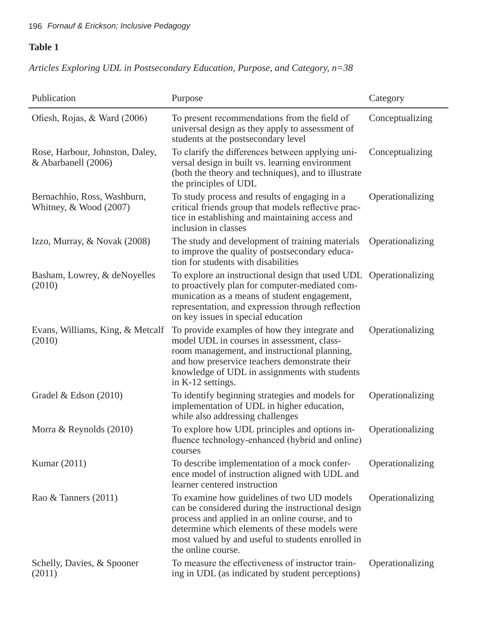## 196 *Fornauf & Erickson; Inclusive Pedagogy*

## **Table 1**

## *Articles Exploring UDL in Postsecondary Education, Purpose, and Category, n=38*

| Publication                                             | Purpose                                                                                                                                                                                                                                                                        | Category         |
|---------------------------------------------------------|--------------------------------------------------------------------------------------------------------------------------------------------------------------------------------------------------------------------------------------------------------------------------------|------------------|
| Ofiesh, Rojas, & Ward (2006)                            | To present recommendations from the field of<br>universal design as they apply to assessment of<br>students at the postsecondary level                                                                                                                                         | Conceptualizing  |
| Rose, Harbour, Johnston, Daley,<br>& Abarbanell (2006)  | To clarify the differences between applying uni-<br>versal design in built vs. learning environment<br>(both the theory and techniques), and to illustrate<br>the principles of UDL                                                                                            | Conceptualizing  |
| Bernachhio, Ross, Washburn,<br>Whitney, $& Wood (2007)$ | To study process and results of engaging in a<br>critical friends group that models reflective prac-<br>tice in establishing and maintaining access and<br>inclusion in classes                                                                                                | Operationalizing |
| Izzo, Murray, & Novak (2008)                            | The study and development of training materials<br>to improve the quality of postsecondary educa-<br>tion for students with disabilities                                                                                                                                       | Operationalizing |
| Basham, Lowrey, & deNoyelles<br>(2010)                  | To explore an instructional design that used UDL Operationalizing<br>to proactively plan for computer-mediated com-<br>munication as a means of student engagement,<br>representation, and expression through reflection<br>on key issues in special education                 |                  |
| Evans, Williams, King, & Metcalf<br>(2010)              | To provide examples of how they integrate and<br>model UDL in courses in assessment, class-<br>room management, and instructional planning,<br>and how preservice teachers demonstrate their<br>knowledge of UDL in assignments with students<br>in K-12 settings.             | Operationalizing |
| Gradel & Edson (2010)                                   | To identify beginning strategies and models for<br>implementation of UDL in higher education,<br>while also addressing challenges                                                                                                                                              | Operationalizing |
| Morra & Reynolds (2010)                                 | To explore how UDL principles and options in-<br>fluence technology-enhanced (hybrid and online)<br>courses                                                                                                                                                                    | Operationalizing |
| Kumar $(2011)$                                          | To describe implementation of a mock confer-<br>ence model of instruction aligned with UDL and<br>learner centered instruction                                                                                                                                                 | Operationalizing |
| Rao & Tanners (2011)                                    | To examine how guidelines of two UD models<br>can be considered during the instructional design<br>process and applied in an online course, and to<br>determine which elements of these models were<br>most valued by and useful to students enrolled in<br>the online course. | Operationalizing |
| Schelly, Davies, & Spooner<br>(2011)                    | To measure the effectiveness of instructor train-<br>ing in UDL (as indicated by student perceptions)                                                                                                                                                                          | Operationalizing |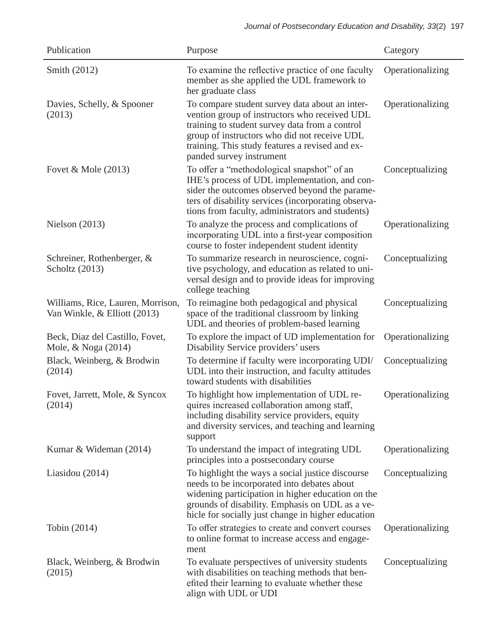| Publication                                                       | Purpose                                                                                                                                                                                                                                                                          | Category         |
|-------------------------------------------------------------------|----------------------------------------------------------------------------------------------------------------------------------------------------------------------------------------------------------------------------------------------------------------------------------|------------------|
| Smith (2012)                                                      | To examine the reflective practice of one faculty<br>member as she applied the UDL framework to<br>her graduate class                                                                                                                                                            | Operationalizing |
| Davies, Schelly, & Spooner<br>(2013)                              | To compare student survey data about an inter-<br>vention group of instructors who received UDL<br>training to student survey data from a control<br>group of instructors who did not receive UDL<br>training. This study features a revised and ex-<br>panded survey instrument | Operationalizing |
| Fovet & Mole $(2013)$                                             | To offer a "methodological snapshot" of an<br>IHE's process of UDL implementation, and con-<br>sider the outcomes observed beyond the parame-<br>ters of disability services (incorporating observa-<br>tions from faculty, administrators and students)                         | Conceptualizing  |
| Nielson $(2013)$                                                  | To analyze the process and complications of<br>incorporating UDL into a first-year composition<br>course to foster independent student identity                                                                                                                                  | Operationalizing |
| Schreiner, Rothenberger, &<br>Scholtz (2013)                      | To summarize research in neuroscience, cogni-<br>tive psychology, and education as related to uni-<br>versal design and to provide ideas for improving<br>college teaching                                                                                                       | Conceptualizing  |
| Williams, Rice, Lauren, Morrison,<br>Van Winkle, & Elliott (2013) | To reimagine both pedagogical and physical<br>space of the traditional classroom by linking<br>UDL and theories of problem-based learning                                                                                                                                        | Conceptualizing  |
| Beck, Diaz del Castillo, Fovet,<br>Mole, & Noga (2014)            | To explore the impact of UD implementation for<br>Disability Service providers' users                                                                                                                                                                                            | Operationalizing |
| Black, Weinberg, & Brodwin<br>(2014)                              | To determine if faculty were incorporating UDI/<br>UDL into their instruction, and faculty attitudes<br>toward students with disabilities                                                                                                                                        | Conceptualizing  |
| Fovet, Jarrett, Mole, & Syncox<br>(2014)                          | To highlight how implementation of UDL re-<br>quires increased collaboration among staff,<br>including disability service providers, equity<br>and diversity services, and teaching and learning<br>support                                                                      | Operationalizing |
| Kumar & Wideman (2014)                                            | To understand the impact of integrating UDL<br>principles into a postsecondary course                                                                                                                                                                                            | Operationalizing |
| Liasidou (2014)                                                   | To highlight the ways a social justice discourse<br>needs to be incorporated into debates about<br>widening participation in higher education on the<br>grounds of disability. Emphasis on UDL as a ve-<br>hicle for socially just change in higher education                    | Conceptualizing  |
| Tobin (2014)                                                      | To offer strategies to create and convert courses<br>to online format to increase access and engage-<br>ment                                                                                                                                                                     | Operationalizing |
| Black, Weinberg, & Brodwin<br>(2015)                              | To evaluate perspectives of university students<br>with disabilities on teaching methods that ben-<br>efited their learning to evaluate whether these<br>align with UDL or UDI                                                                                                   | Conceptualizing  |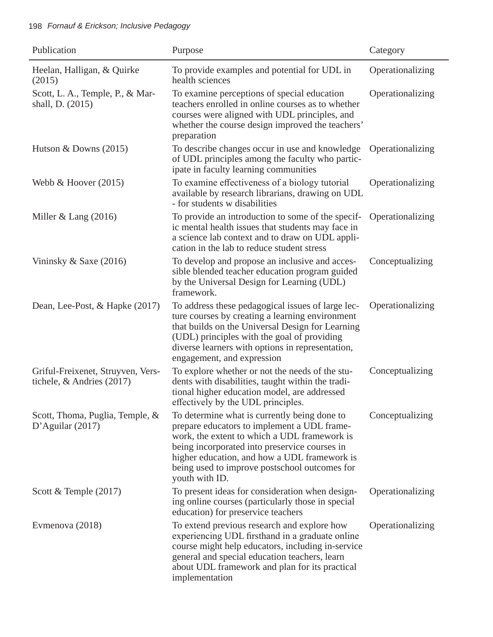## 198 *Fornauf & Erickson; Inclusive Pedagogy*

| Publication                                                      | Purpose                                                                                                                                                                                                                                                                                                         | Category         |
|------------------------------------------------------------------|-----------------------------------------------------------------------------------------------------------------------------------------------------------------------------------------------------------------------------------------------------------------------------------------------------------------|------------------|
| Heelan, Halligan, & Quirke<br>(2015)                             | To provide examples and potential for UDL in<br>health sciences                                                                                                                                                                                                                                                 | Operationalizing |
| Scott, L. A., Temple, P., & Mar-<br>shall, D. (2015)             | To examine perceptions of special education<br>teachers enrolled in online courses as to whether<br>courses were aligned with UDL principles, and<br>whether the course design improved the teachers'<br>preparation                                                                                            | Operationalizing |
| Hutson & Downs $(2015)$                                          | To describe changes occur in use and knowledge<br>of UDL principles among the faculty who partic-<br>ipate in faculty learning communities                                                                                                                                                                      | Operationalizing |
| Webb & Hoover $(2015)$                                           | To examine effectiveness of a biology tutorial<br>available by research librarians, drawing on UDL<br>- for students w disabilities                                                                                                                                                                             | Operationalizing |
| Miller & Lang $(2016)$                                           | To provide an introduction to some of the specif-<br>ic mental health issues that students may face in<br>a science lab context and to draw on UDL appli-<br>cation in the lab to reduce student stress                                                                                                         | Operationalizing |
| Vininsky $&$ Saxe (2016)                                         | To develop and propose an inclusive and acces-<br>sible blended teacher education program guided<br>by the Universal Design for Learning (UDL)<br>framework.                                                                                                                                                    | Conceptualizing  |
| Dean, Lee-Post, & Hapke (2017)                                   | To address these pedagogical issues of large lec-<br>ture courses by creating a learning environment<br>that builds on the Universal Design for Learning<br>(UDL) principles with the goal of providing<br>diverse learners with options in representation,<br>engagement, and expression                       | Operationalizing |
| Griful-Freixenet, Struyven, Vers-<br>tichele, $&$ Andries (2017) | To explore whether or not the needs of the stu-<br>dents with disabilities, taught within the tradi-<br>tional higher education model, are addressed<br>effectively by the UDL principles.                                                                                                                      | Conceptualizing  |
| Scott, Thoma, Puglia, Temple, &<br>D'Aguilar $(2017)$            | To determine what is currently being done to<br>prepare educators to implement a UDL frame-<br>work, the extent to which a UDL framework is<br>being incorporated into preservice courses in<br>higher education, and how a UDL framework is<br>being used to improve postschool outcomes for<br>youth with ID. | Conceptualizing  |
| Scott & Temple $(2017)$                                          | To present ideas for consideration when design-<br>ing online courses (particularly those in special<br>education) for preservice teachers                                                                                                                                                                      | Operationalizing |
| Evmenova (2018)                                                  | To extend previous research and explore how<br>experiencing UDL firsthand in a graduate online<br>course might help educators, including in-service<br>general and special education teachers, learn<br>about UDL framework and plan for its practical<br>implementation                                        | Operationalizing |